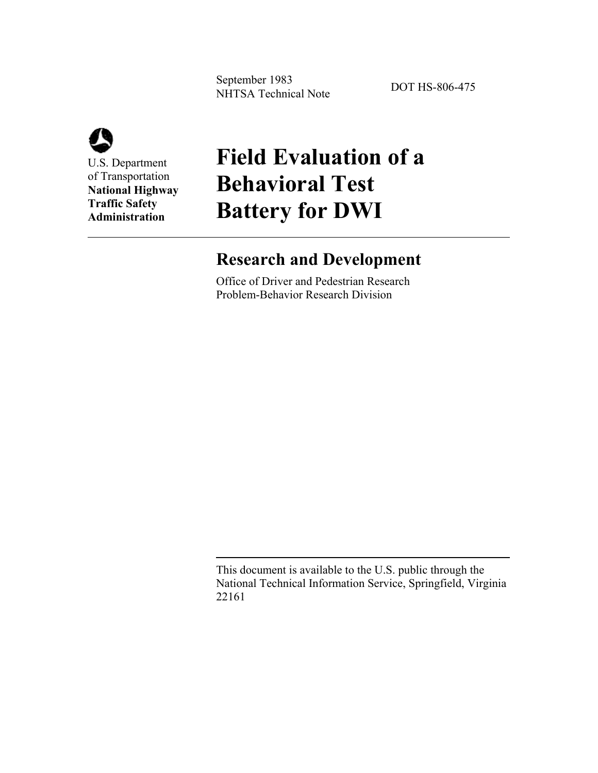September 1983 September 1985<br>NHTSA Technical Note DOT HS-806-475



U.S. Department of Transportation **National Highway Traffic Safety Administration**

## **Field Evaluation of a Behavioral Test Battery for DWI**

### **Research and Development**

Office of Driver and Pedestrian Research Problem-Behavior Research Division

This document is available to the U.S. public through the National Technical Information Service, Springfield, Virginia 22161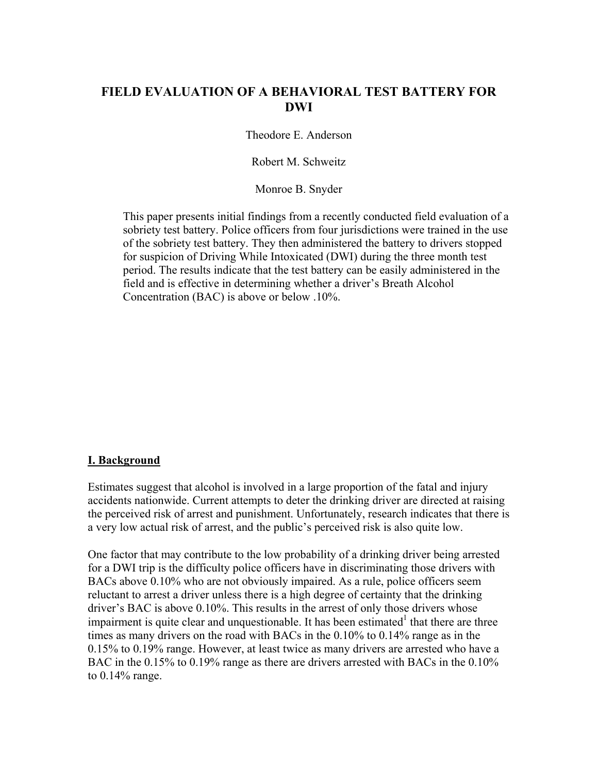#### **FIELD EVALUATION OF A BEHAVIORAL TEST BATTERY FOR DWI**

Theodore E. Anderson

Robert M. Schweitz

Monroe B. Snyder

This paper presents initial findings from a recently conducted field evaluation of a sobriety test battery. Police officers from four jurisdictions were trained in the use of the sobriety test battery. They then administered the battery to drivers stopped for suspicion of Driving While Intoxicated (DWI) during the three month test period. The results indicate that the test battery can be easily administered in the field and is effective in determining whether a driver's Breath Alcohol Concentration (BAC) is above or below .10%.

#### **I. Background**

Estimates suggest that alcohol is involved in a large proportion of the fatal and injury accidents nationwide. Current attempts to deter the drinking driver are directed at raising the perceived risk of arrest and punishment. Unfortunately, research indicates that there is a very low actual risk of arrest, and the public's perceived risk is also quite low.

One factor that may contribute to the low probability of a drinking driver being arrested for a DWI trip is the difficulty police officers have in discriminating those drivers with BACs above 0.10% who are not obviously impaired. As a rule, police officers seem reluctant to arrest a driver unless there is a high degree of certainty that the drinking driver's BAC is above 0.10%. This results in the arrest of only those drivers whose impairment is quite clear and unquestionable. It has been estimated<sup>1</sup> that there are three times as many drivers on the road with BACs in the 0.10% to 0.14% range as in the 0.15% to 0.19% range. However, at least twice as many drivers are arrested who have a BAC in the 0.15% to 0.19% range as there are drivers arrested with BACs in the 0.10% to 0.14% range.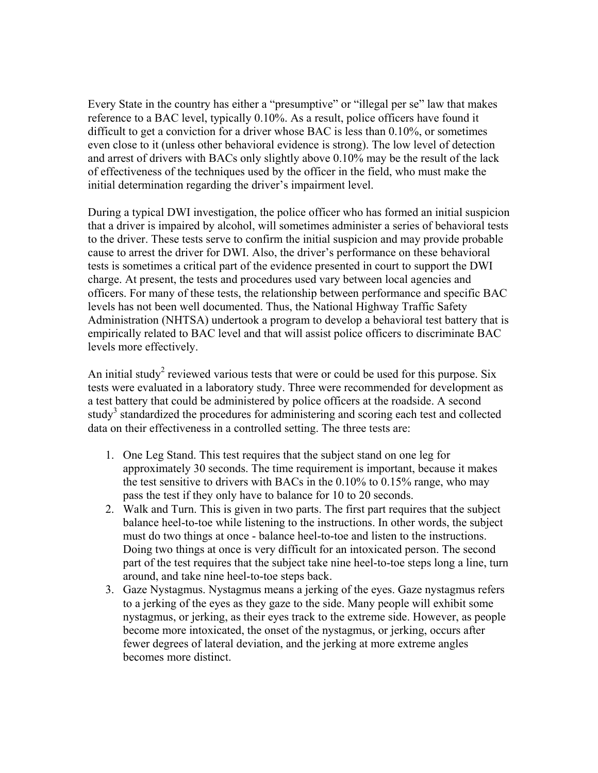Every State in the country has either a "presumptive" or "illegal per se" law that makes reference to a BAC level, typically 0.10%. As a result, police officers have found it difficult to get a conviction for a driver whose BAC is less than 0.10%, or sometimes even close to it (unless other behavioral evidence is strong). The low level of detection and arrest of drivers with BACs only slightly above 0.10% may be the result of the lack of effectiveness of the techniques used by the officer in the field, who must make the initial determination regarding the driver's impairment level.

During a typical DWI investigation, the police officer who has formed an initial suspicion that a driver is impaired by alcohol, will sometimes administer a series of behavioral tests to the driver. These tests serve to confirm the initial suspicion and may provide probable cause to arrest the driver for DWI. Also, the driver's performance on these behavioral tests is sometimes a critical part of the evidence presented in court to support the DWI charge. At present, the tests and procedures used vary between local agencies and officers. For many of these tests, the relationship between performance and specific BAC levels has not been well documented. Thus, the National Highway Traffic Safety Administration (NHTSA) undertook a program to develop a behavioral test battery that is empirically related to BAC level and that will assist police officers to discriminate BAC levels more effectively.

An initial study<sup>2</sup> reviewed various tests that were or could be used for this purpose. Six tests were evaluated in a laboratory study. Three were recommended for development as a test battery that could be administered by police officers at the roadside. A second study<sup>3</sup> standardized the procedures for administering and scoring each test and collected data on their effectiveness in a controlled setting. The three tests are:

- 1. One Leg Stand. This test requires that the subject stand on one leg for approximately 30 seconds. The time requirement is important, because it makes the test sensitive to drivers with BACs in the 0.10% to 0.15% range, who may pass the test if they only have to balance for 10 to 20 seconds.
- 2. Walk and Turn. This is given in two parts. The first part requires that the subject balance heel-to-toe while listening to the instructions. In other words, the subject must do two things at once - balance heel-to-toe and listen to the instructions. Doing two things at once is very difficult for an intoxicated person. The second part of the test requires that the subject take nine heel-to-toe steps long a line, turn around, and take nine heel-to-toe steps back.
- 3. Gaze Nystagmus. Nystagmus means a jerking of the eyes. Gaze nystagmus refers to a jerking of the eyes as they gaze to the side. Many people will exhibit some nystagmus, or jerking, as their eyes track to the extreme side. However, as people become more intoxicated, the onset of the nystagmus, or jerking, occurs after fewer degrees of lateral deviation, and the jerking at more extreme angles becomes more distinct.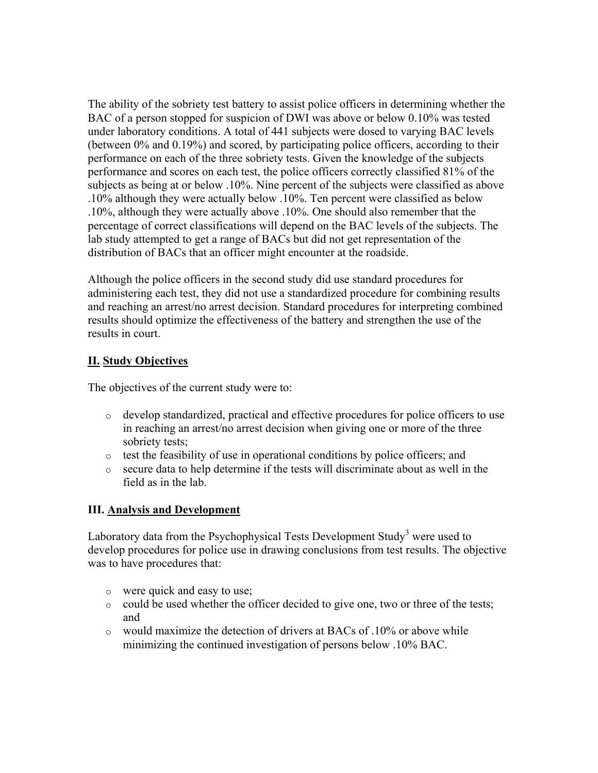The ability of the sobriety test battery to assist police officers in determining whether the BAC of a person stopped for suspicion of DWI was above or below 0.10% was tested under laboratory conditions. A total of 441 subjects were dosed to varying BAC levels (between 0% and 0.19%) and scored, by participating police officers, according to their performance on each of the three sobriety tests. Given the knowledge of the subjects performance and scores on each test, the police officers correctly classified 81% of the subjects as being at or below .10%. Nine percent of the subjects were classified as above .10% although they were actually below .10%. Ten percent were classified as below .10%, although they were actually above .10%. One should also remember that the percentage of correct classifications will depend on the BAC levels of the subjects. The lab study attempted to get a range of BACs but did not get representation of the distribution of BACs that an officer might encounter at the roadside.

Although the police officers in the second study did use standard procedures for administering each test, they did not use a standardized procedure for combining results and reaching an arrest/no arrest decision. Standard procedures for interpreting combined results should optimize the effectiveness of the battery and strengthen the use of the results in court.

#### **II. Study Objectives**

The objectives of the current study were to:

- o develop standardized, practical and effective procedures for police officers to use in reaching an arrest/no arrest decision when giving one or more of the three sobriety tests:
- o test the feasibility of use in operational conditions by police officers; and
- $\circ$  secure data to help determine if the tests will discriminate about as well in the field as in the lab.

#### **III. Analysis and Development**

Laboratory data from the Psychophysical Tests Development Study<sup>3</sup> were used to develop procedures for police use in drawing conclusions from test results. The objective was to have procedures that:

- o were quick and easy to use;
- o could be used whether the officer decided to give one, two or three of the tests; and
- o would maximize the detection of drivers at BACs of .10% or above while minimizing the continued investigation of persons below .10% BAC.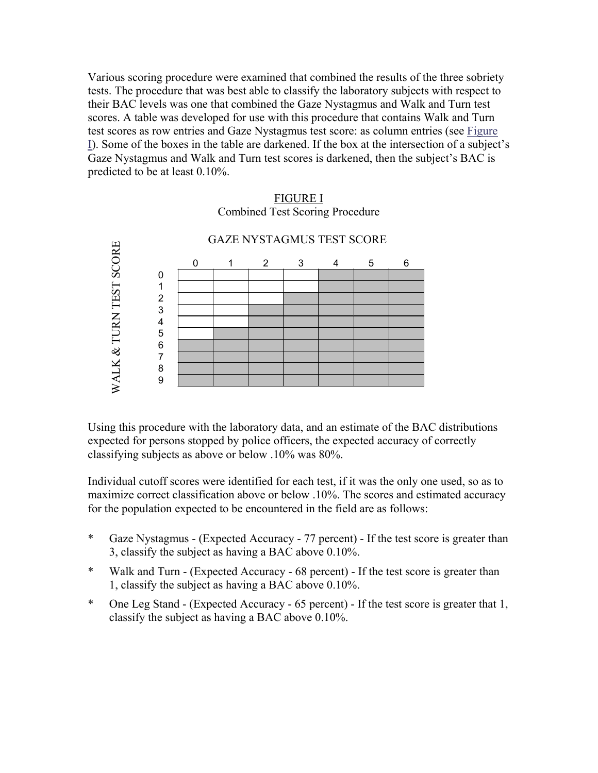Various scoring procedure were examined that combined the results of the three sobriety tests. The procedure that was best able to classify the laboratory subjects with respect to their BAC levels was one that combined the Gaze Nystagmus and Walk and Turn test scores. A table was developed for use with this procedure that contains Walk and Turn test scores as row entries and Gaze Nystagmus test score: as column entries (see Figure I). Some of the boxes in the table are darkened. If the box at the intersection of a subject's Gaze Nystagmus and Walk and Turn test scores is darkened, then the subject's BAC is predicted to be at least 0.10%.

# CONDECTED TO A THE SUBJECTED TO A THE SUBSERVED TO A THE SUBSERVED TO A THE SUBSERVED TO A THE SUBSERVED TO A THE SUBSERVED TO A THE SUBSERVED ON THE SUBSERVED ON THE POPULATION CORE ASSIFATION AND A CHAPTER OF THE SUBSTR GAZE NYSTAGMUS TEST SCORE 0123456 0 1 2 3 4 5 6 7 8 9

#### FIGURE I Combined Test Scoring Procedure

Using this procedure with the laboratory data, and an estimate of the BAC distributions expected for persons stopped by police officers, the expected accuracy of correctly classifying subjects as above or below .10% was 80%.

Individual cutoff scores were identified for each test, if it was the only one used, so as to maximize correct classification above or below .10%. The scores and estimated accuracy for the population expected to be encountered in the field are as follows:

- \* Gaze Nystagmus (Expected Accuracy 77 percent) If the test score is greater than 3, classify the subject as having a BAC above 0.10%.
- \* Walk and Turn (Expected Accuracy 68 percent) If the test score is greater than 1, classify the subject as having a BAC above 0.10%.
- \* One Leg Stand (Expected Accuracy 65 percent) If the test score is greater that 1,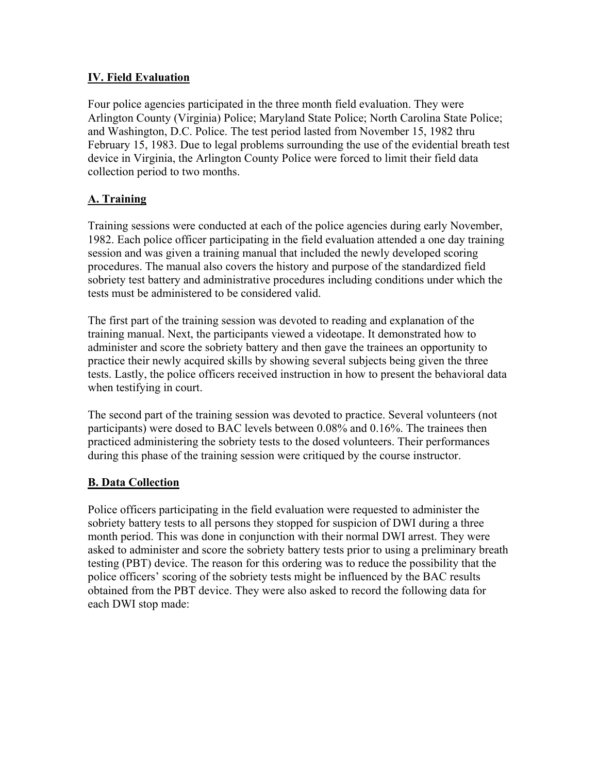#### **IV. Field Evaluation**

Four police agencies participated in the three month field evaluation. They were Arlington County (Virginia) Police; Maryland State Police; North Carolina State Police; and Washington, D.C. Police. The test period lasted from November 15, 1982 thru February 15, 1983. Due to legal problems surrounding the use of the evidential breath test device in Virginia, the Arlington County Police were forced to limit their field data collection period to two months.

#### **A. Training**

Training sessions were conducted at each of the police agencies during early November, 1982. Each police officer participating in the field evaluation attended a one day training session and was given a training manual that included the newly developed scoring procedures. The manual also covers the history and purpose of the standardized field sobriety test battery and administrative procedures including conditions under which the tests must be administered to be considered valid.

The first part of the training session was devoted to reading and explanation of the training manual. Next, the participants viewed a videotape. It demonstrated how to administer and score the sobriety battery and then gave the trainees an opportunity to practice their newly acquired skills by showing several subjects being given the three tests. Lastly, the police officers received instruction in how to present the behavioral data when testifying in court.

The second part of the training session was devoted to practice. Several volunteers (not participants) were dosed to BAC levels between 0.08% and 0.16%. The trainees then practiced administering the sobriety tests to the dosed volunteers. Their performances during this phase of the training session were critiqued by the course instructor.

#### **B. Data Collection**

Police officers participating in the field evaluation were requested to administer the sobriety battery tests to all persons they stopped for suspicion of DWI during a three month period. This was done in conjunction with their normal DWI arrest. They were asked to administer and score the sobriety battery tests prior to using a preliminary breath testing (PBT) device. The reason for this ordering was to reduce the possibility that the police officers' scoring of the sobriety tests might be influenced by the BAC results obtained from the PBT device. They were also asked to record the following data for each DWI stop made: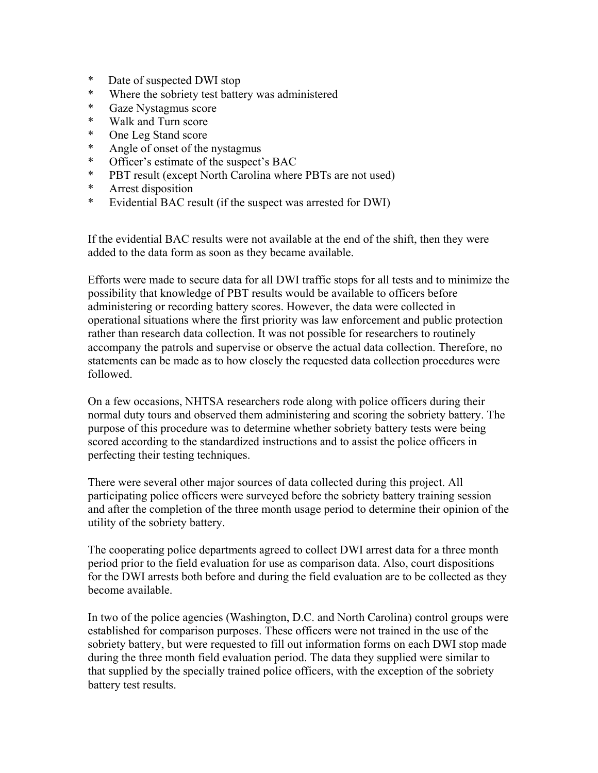- \* Date of suspected DWI stop
- \* Where the sobriety test battery was administered
- \* Gaze Nystagmus score
- \* Walk and Turn score
- \* One Leg Stand score
- \* Angle of onset of the nystagmus<br>\* Officer's estimate of the suspect
- Officer's estimate of the suspect's BAC
- \* PBT result (except North Carolina where PBTs are not used)
- \* Arrest disposition
- \* Evidential BAC result (if the suspect was arrested for DWI)

If the evidential BAC results were not available at the end of the shift, then they were added to the data form as soon as they became available.

Efforts were made to secure data for all DWI traffic stops for all tests and to minimize the possibility that knowledge of PBT results would be available to officers before administering or recording battery scores. However, the data were collected in operational situations where the first priority was law enforcement and public protection rather than research data collection. It was not possible for researchers to routinely accompany the patrols and supervise or observe the actual data collection. Therefore, no statements can be made as to how closely the requested data collection procedures were followed.

On a few occasions, NHTSA researchers rode along with police officers during their normal duty tours and observed them administering and scoring the sobriety battery. The purpose of this procedure was to determine whether sobriety battery tests were being scored according to the standardized instructions and to assist the police officers in perfecting their testing techniques.

There were several other major sources of data collected during this project. All participating police officers were surveyed before the sobriety battery training session and after the completion of the three month usage period to determine their opinion of the utility of the sobriety battery.

The cooperating police departments agreed to collect DWI arrest data for a three month period prior to the field evaluation for use as comparison data. Also, court dispositions for the DWI arrests both before and during the field evaluation are to be collected as they become available.

In two of the police agencies (Washington, D.C. and North Carolina) control groups were established for comparison purposes. These officers were not trained in the use of the sobriety battery, but were requested to fill out information forms on each DWI stop made during the three month field evaluation period. The data they supplied were similar to that supplied by the specially trained police officers, with the exception of the sobriety battery test results.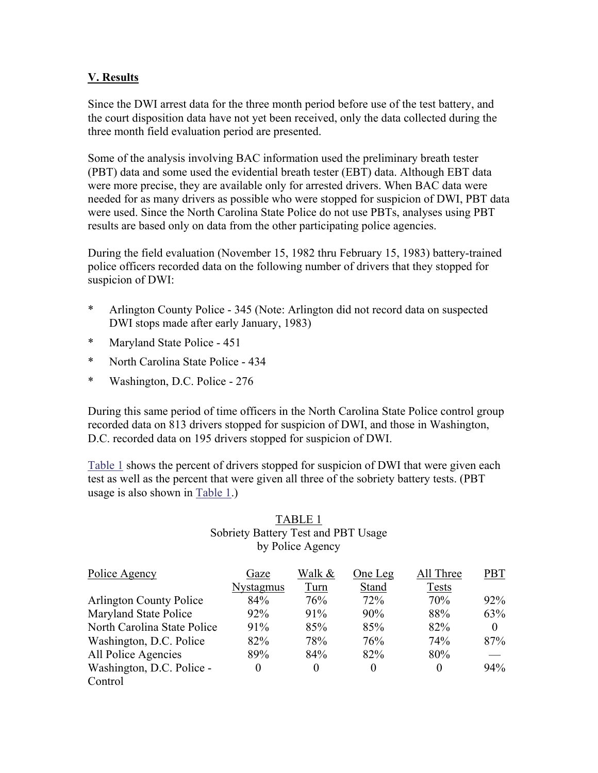#### **V. Results**

Since the DWI arrest data for the three month period before use of the test battery, and the court disposition data have not yet been received, only the data collected during the three month field evaluation period are presented.

Some of the analysis involving BAC information used the preliminary breath tester (PBT) data and some used the evidential breath tester (EBT) data. Although EBT data were more precise, they are available only for arrested drivers. When BAC data were needed for as many drivers as possible who were stopped for suspicion of DWI, PBT data were used. Since the North Carolina State Police do not use PBTs, analyses using PBT results are based only on data from the other participating police agencies.

During the field evaluation (November 15, 1982 thru February 15, 1983) battery-trained police officers recorded data on the following number of drivers that they stopped for suspicion of DWI:

- \* Arlington County Police 345 (Note: Arlington did not record data on suspected DWI stops made after early January, 1983)
- \* Maryland State Police 451
- \* North Carolina State Police 434
- \* Washington, D.C. Police 276

During this same period of time officers in the North Carolina State Police control group recorded data on 813 drivers stopped for suspicion of DWI, and those in Washington, D.C. recorded data on 195 drivers stopped for suspicion of DWI.

[Table 1](#page-8-0) shows the percent of drivers stopped for suspicion of DWI that were given each test as well as the percent that were given all three of the sobriety battery tests. (PBT usage is also shown in [Table 1.\)](#page-8-0) 

#### TABLE 1 Sobriety Battery Test and PBT Usage by Police Agency

| Police Agency                  | Gaze      | Walk &   | One Leg | All Three    | PBT      |
|--------------------------------|-----------|----------|---------|--------------|----------|
|                                | Nystagmus | Turn     | Stand   | <b>Tests</b> |          |
| <b>Arlington County Police</b> | 84%       | 76%      | 72%     | 70%          | 92%      |
| Maryland State Police          | 92%       | 91%      | 90%     | 88%          | 63%      |
| North Carolina State Police    | 91%       | 85%      | 85%     | 82%          | $\Omega$ |
| Washington, D.C. Police        | 82%       | 78%      | 76%     | 74%          | 87%      |
| All Police Agencies            | 89%       | 84%      | 82%     | 80%          |          |
| Washington, D.C. Police -      | $\theta$  | $\theta$ |         | $\theta$     | 94%      |
| Control                        |           |          |         |              |          |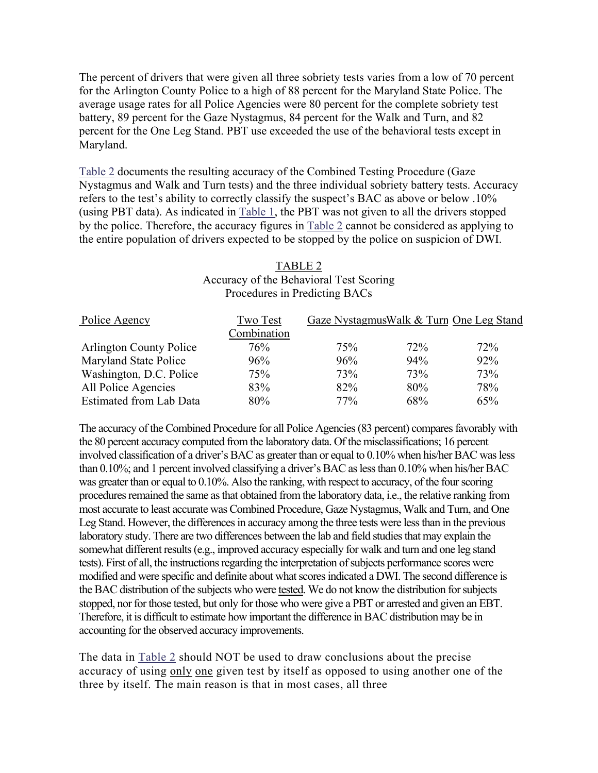<span id="page-8-0"></span>The percent of drivers that were given all three sobriety tests varies from a low of 70 percent for the Arlington County Police to a high of 88 percent for the Maryland State Police. The average usage rates for all Police Agencies were 80 percent for the complete sobriety test battery, 89 percent for the Gaze Nystagmus, 84 percent for the Walk and Turn, and 82 percent for the One Leg Stand. PBT use exceeded the use of the behavioral tests except in Maryland.

Table 2 documents the resulting accuracy of the Combined Testing Procedure (Gaze Nystagmus and Walk and Turn tests) and the three individual sobriety battery tests. Accuracy refers to the test's ability to correctly classify the suspect's BAC as above or below .10% (using PBT data). As indicated in Table 1, the PBT was not given to all the drivers stopped by the police. Therefore, the accuracy figures in Table 2 cannot be considered as applying to the entire population of drivers expected to be stopped by the police on suspicion of DWI.

#### TABLE 2 Accuracy of the Behavioral Test Scoring Procedures in Predicting BACs

| Police Agency                  | Two Test    | Gaze NystagmusWalk & Turn One Leg Stand |     |     |
|--------------------------------|-------------|-----------------------------------------|-----|-----|
|                                | Combination |                                         |     |     |
| <b>Arlington County Police</b> | 76%         | 75%                                     | 72% | 72% |
| Maryland State Police          | 96%         | 96%                                     | 94% | 92% |
| Washington, D.C. Police        | 75%         | 73%                                     | 73% | 73% |
| All Police Agencies            | 83%         | 82%                                     | 80% | 78% |
| Estimated from Lab Data        | 80%         | 77%                                     | 68% | 65% |

The accuracy of the Combined Procedure for all Police Agencies (83 percent) compares favorably with the 80 percent accuracy computed from the laboratory data. Of the misclassifications; 16 percent involved classification of a driver's BAC as greater than or equal to 0.10% when his/her BAC was less than 0.10%; and 1 percent involved classifying a driver's BAC as less than 0.10% when his/her BAC was greater than or equal to 0.10%. Also the ranking, with respect to accuracy, of the four scoring procedures remained the same as that obtained from the laboratory data, i.e., the relative ranking from most accurate to least accurate was Combined Procedure, Gaze Nystagmus, Walk and Turn, and One Leg Stand. However, the differences in accuracy among the three tests were less than in the previous laboratory study. There are two differences between the lab and field studies that may explain the somewhat different results (e.g., improved accuracy especially for walk and turn and one leg stand tests). First of all, the instructions regarding the interpretation of subjects performance scores were modified and were specific and definite about what scores indicated a DWI. The second difference is the BAC distribution of the subjects who were tested. We do not know the distribution for subjects stopped, nor for those tested, but only for those who were give a PBT or arrested and given an EBT. Therefore, it is difficult to estimate how important the difference in BAC distribution may be in accounting for the observed accuracy improvements.

The data in Table 2 should NOT be used to draw conclusions about the precise accuracy of using only one given test by itself as opposed to using another one of the three by itself. The main reason is that in most cases, all three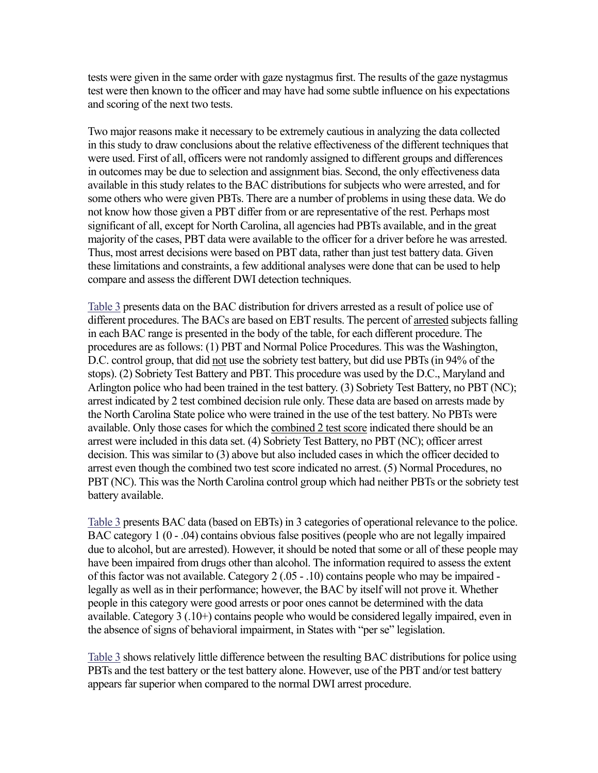tests were given in the same order with gaze nystagmus first. The results of the gaze nystagmus test were then known to the officer and may have had some subtle influence on his expectations and scoring of the next two tests.

Two major reasons make it necessary to be extremely cautious in analyzing the data collected in this study to draw conclusions about the relative effectiveness of the different techniques that were used. First of all, officers were not randomly assigned to different groups and differences in outcomes may be due to selection and assignment bias. Second, the only effectiveness data available in this study relates to the BAC distributions for subjects who were arrested, and for some others who were given PBTs. There are a number of problems in using these data. We do not know how those given a PBT differ from or are representative of the rest. Perhaps most significant of all, except for North Carolina, all agencies had PBTs available, and in the great majority of the cases, PBT data were available to the officer for a driver before he was arrested. Thus, most arrest decisions were based on PBT data, rather than just test battery data. Given these limitations and constraints, a few additional analyses were done that can be used to help compare and assess the different DWI detection techniques.

[Table 3](#page-10-0) presents data on the BAC distribution for drivers arrested as a result of police use of different procedures. The BACs are based on EBT results. The percent of arrested subjects falling in each BAC range is presented in the body of the table, for each different procedure. The procedures are as follows: (1) PBT and Normal Police Procedures. This was the Washington, D.C. control group, that did not use the sobriety test battery, but did use PBTs (in 94% of the stops). (2) Sobriety Test Battery and PBT. This procedure was used by the D.C., Maryland and Arlington police who had been trained in the test battery. (3) Sobriety Test Battery, no PBT (NC); arrest indicated by 2 test combined decision rule only. These data are based on arrests made by the North Carolina State police who were trained in the use of the test battery. No PBTs were available. Only those cases for which the combined 2 test score indicated there should be an arrest were included in this data set. (4) Sobriety Test Battery, no PBT (NC); officer arrest decision. This was similar to (3) above but also included cases in which the officer decided to arrest even though the combined two test score indicated no arrest. (5) Normal Procedures, no PBT (NC). This was the North Carolina control group which had neither PBTs or the sobriety test battery available.

[Table 3](#page-10-0) presents BAC data (based on EBTs) in 3 categories of operational relevance to the police. BAC category 1 (0 - .04) contains obvious false positives (people who are not legally impaired due to alcohol, but are arrested). However, it should be noted that some or all of these people may have been impaired from drugs other than alcohol. The information required to assess the extent of this factor was not available. Category 2 (.05 - .10) contains people who may be impaired legally as well as in their performance; however, the BAC by itself will not prove it. Whether people in this category were good arrests or poor ones cannot be determined with the data available. Category 3 (.10+) contains people who would be considered legally impaired, even in the absence of signs of behavioral impairment, in States with "per se" legislation.

[Table 3](#page-10-0) shows relatively little difference between the resulting BAC distributions for police using PBTs and the test battery or the test battery alone. However, use of the PBT and/or test battery appears far superior when compared to the normal DWI arrest procedure.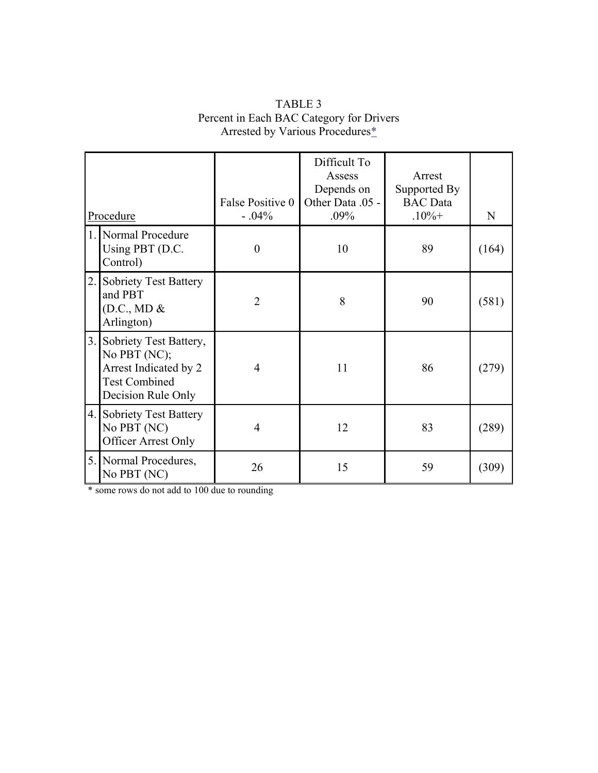<span id="page-10-1"></span><span id="page-10-0"></span>

| Procedure |                                                                                                                  | False Positive 0<br>$-.04%$ | Difficult To<br>Assess<br>Depends on<br>Other Data .05 -<br>$.09\%$ | Arrest<br>Supported By<br><b>BAC</b> Data<br>$.10% +$ | N     |
|-----------|------------------------------------------------------------------------------------------------------------------|-----------------------------|---------------------------------------------------------------------|-------------------------------------------------------|-------|
|           | 1. Normal Procedure<br>Using PBT (D.C.<br>Control)                                                               | $\boldsymbol{0}$            | 10                                                                  | 89                                                    | (164) |
|           | 2. Sobriety Test Battery<br>and PBT<br>(D.C., MD &<br>Arlington)                                                 | $\overline{2}$              | 8                                                                   | 90                                                    | (581) |
|           | 3. Sobriety Test Battery,<br>No PBT (NC);<br>Arrest Indicated by 2<br><b>Test Combined</b><br>Decision Rule Only | 4                           | 11                                                                  | 86                                                    | (279) |
|           | 4. Sobriety Test Battery<br>No PBT (NC)<br>Officer Arrest Only                                                   | 4                           | 12                                                                  | 83                                                    | (289) |
|           | 5. Normal Procedures,<br>No PBT (NC)                                                                             | 26                          | 15                                                                  | 59                                                    | (309) |

#### TABLE 3 Percent in Each BAC Category for Drivers Arrested by Various Procedures[\\*](#page-10-1)

\* some rows do not add to 100 due to rounding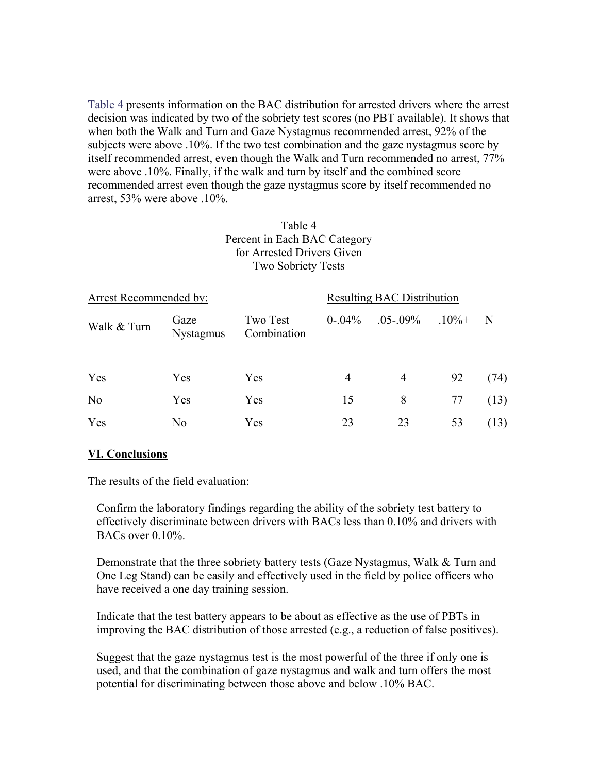Table 4 presents information on the BAC distribution for arrested drivers where the arrest decision was indicated by two of the sobriety test scores (no PBT available). It shows that when both the Walk and Turn and Gaze Nystagmus recommended arrest, 92% of the subjects were above .10%. If the two test combination and the gaze nystagmus score by itself recommended arrest, even though the Walk and Turn recommended no arrest, 77% were above .10%. Finally, if the walk and turn by itself and the combined score recommended arrest even though the gaze nystagmus score by itself recommended no arrest, 53% were above .10%.

#### Table 4 Percent in Each BAC Category for Arrested Drivers Given Two Sobriety Tests

| <b>Arrest Recommended by:</b> | <b>Resulting BAC Distribution</b> |                         |              |                       |    |      |
|-------------------------------|-----------------------------------|-------------------------|--------------|-----------------------|----|------|
| Walk & Turn                   | Gaze<br><b>Nystagmus</b>          | Two Test<br>Combination | $0 - 0.04\%$ | $.05 - .09\%$ $.10\%$ |    | N    |
| Yes                           | Yes                               | Yes                     | 4            | 4                     | 92 | (74) |
| N <sub>o</sub>                | Yes                               | Yes                     | 15           | 8                     | 77 | (13) |
| Yes                           | N <sub>0</sub>                    | Yes                     | 23           | 23                    | 53 | (13) |

#### **VI. Conclusions**

The results of the field evaluation:

Confirm the laboratory findings regarding the ability of the sobriety test battery to effectively discriminate between drivers with BACs less than 0.10% and drivers with BACs over  $0.10\%$ .

Demonstrate that the three sobriety battery tests (Gaze Nystagmus, Walk & Turn and One Leg Stand) can be easily and effectively used in the field by police officers who have received a one day training session.

Indicate that the test battery appears to be about as effective as the use of PBTs in improving the BAC distribution of those arrested (e.g., a reduction of false positives).

Suggest that the gaze nystagmus test is the most powerful of the three if only one is used, and that the combination of gaze nystagmus and walk and turn offers the most potential for discriminating between those above and below .10% BAC.